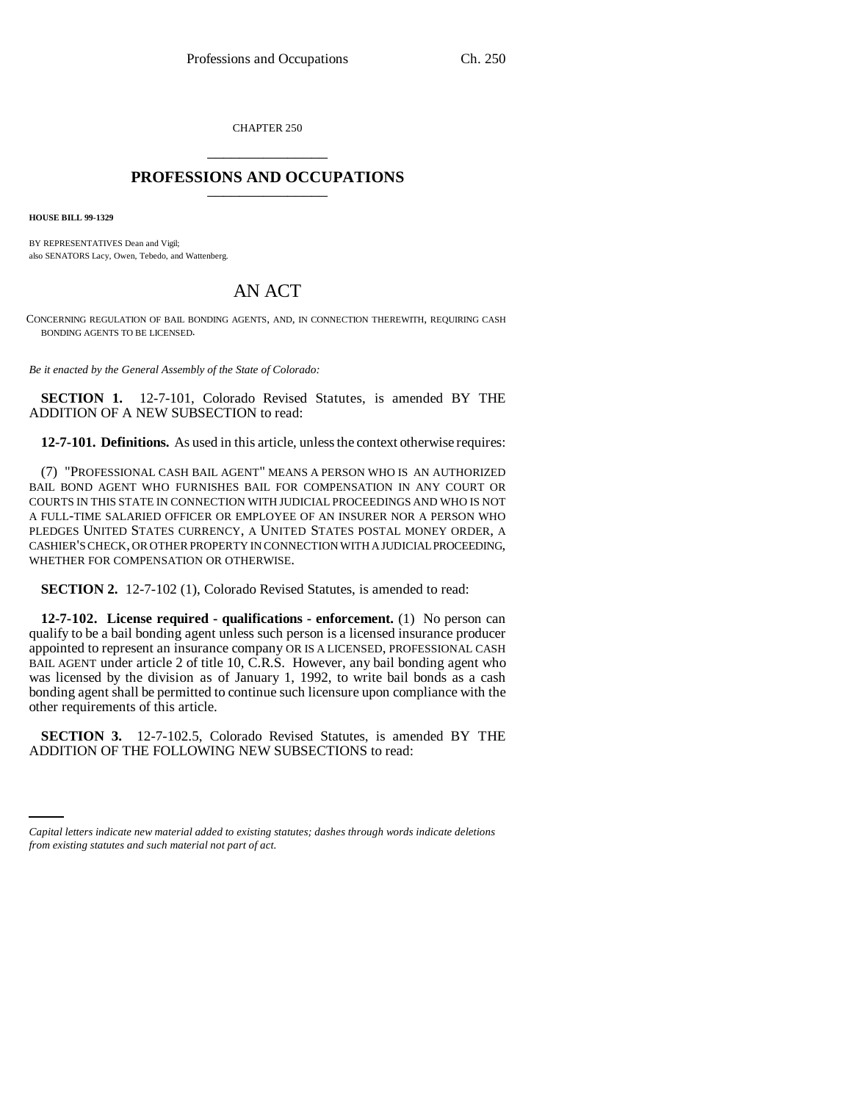CHAPTER 250 \_\_\_\_\_\_\_\_\_\_\_\_\_\_\_

## **PROFESSIONS AND OCCUPATIONS** \_\_\_\_\_\_\_\_\_\_\_\_\_\_\_

**HOUSE BILL 99-1329** 

BY REPRESENTATIVES Dean and Vigil; also SENATORS Lacy, Owen, Tebedo, and Wattenberg.

## AN ACT

CONCERNING REGULATION OF BAIL BONDING AGENTS, AND, IN CONNECTION THEREWITH, REQUIRING CASH BONDING AGENTS TO BE LICENSED.

*Be it enacted by the General Assembly of the State of Colorado:*

**SECTION 1.** 12-7-101, Colorado Revised Statutes, is amended BY THE ADDITION OF A NEW SUBSECTION to read:

**12-7-101. Definitions.** As used in this article, unless the context otherwise requires:

(7) "PROFESSIONAL CASH BAIL AGENT" MEANS A PERSON WHO IS AN AUTHORIZED BAIL BOND AGENT WHO FURNISHES BAIL FOR COMPENSATION IN ANY COURT OR COURTS IN THIS STATE IN CONNECTION WITH JUDICIAL PROCEEDINGS AND WHO IS NOT A FULL-TIME SALARIED OFFICER OR EMPLOYEE OF AN INSURER NOR A PERSON WHO PLEDGES UNITED STATES CURRENCY, A UNITED STATES POSTAL MONEY ORDER, A CASHIER'S CHECK, OR OTHER PROPERTY IN CONNECTION WITH A JUDICIAL PROCEEDING, WHETHER FOR COMPENSATION OR OTHERWISE.

**SECTION 2.** 12-7-102 (1), Colorado Revised Statutes, is amended to read:

**12-7-102. License required - qualifications - enforcement.** (1) No person can qualify to be a bail bonding agent unless such person is a licensed insurance producer appointed to represent an insurance company OR IS A LICENSED, PROFESSIONAL CASH BAIL AGENT under article 2 of title 10, C.R.S. However, any bail bonding agent who was licensed by the division as of January 1, 1992, to write bail bonds as a cash bonding agent shall be permitted to continue such licensure upon compliance with the other requirements of this article.

**SECTION 3.** 12-7-102.5, COMMO REWISCO STATES, IS AMNOSTED ADDITION OF THE FOLLOWING NEW SUBSECTIONS to read: **SECTION 3.** 12-7-102.5, Colorado Revised Statutes, is amended BY THE

*Capital letters indicate new material added to existing statutes; dashes through words indicate deletions from existing statutes and such material not part of act.*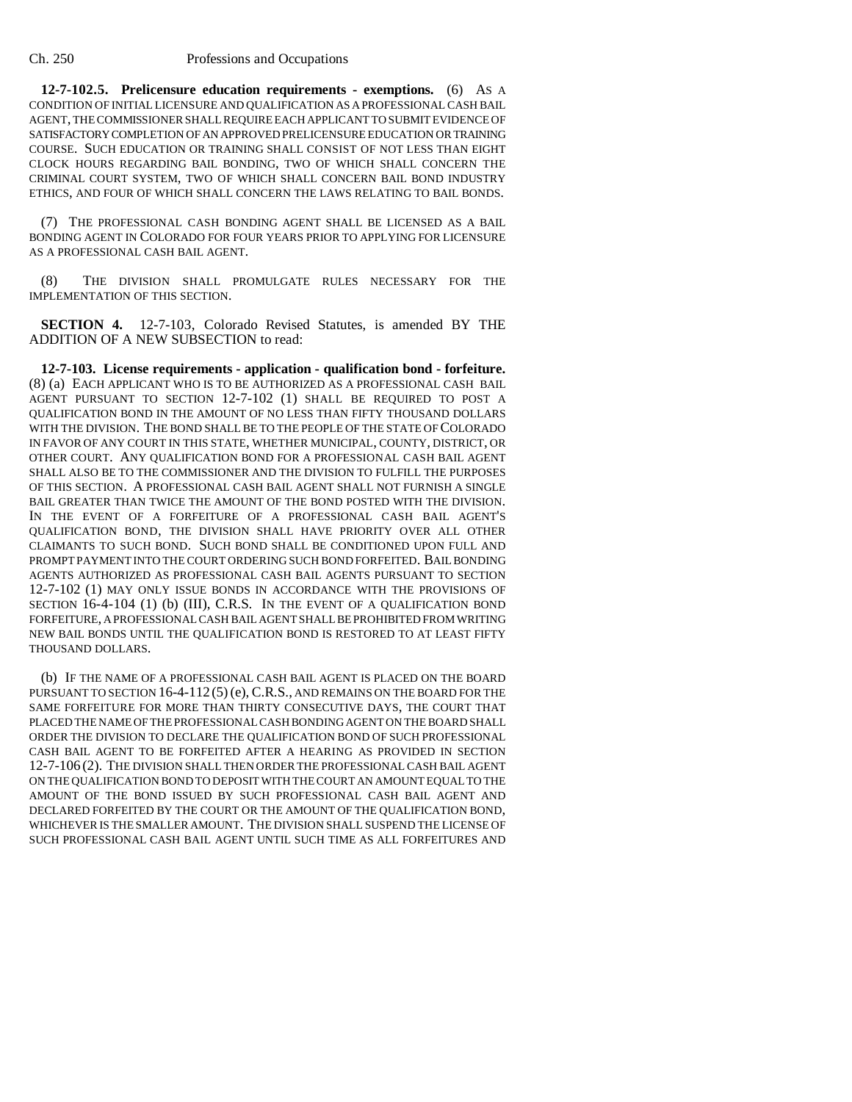**12-7-102.5. Prelicensure education requirements - exemptions.** (6) AS A CONDITION OF INITIAL LICENSURE AND QUALIFICATION AS A PROFESSIONAL CASH BAIL AGENT, THE COMMISSIONER SHALL REQUIRE EACH APPLICANT TO SUBMIT EVIDENCE OF SATISFACTORY COMPLETION OF AN APPROVED PRELICENSURE EDUCATION OR TRAINING COURSE. SUCH EDUCATION OR TRAINING SHALL CONSIST OF NOT LESS THAN EIGHT CLOCK HOURS REGARDING BAIL BONDING, TWO OF WHICH SHALL CONCERN THE CRIMINAL COURT SYSTEM, TWO OF WHICH SHALL CONCERN BAIL BOND INDUSTRY ETHICS, AND FOUR OF WHICH SHALL CONCERN THE LAWS RELATING TO BAIL BONDS.

(7) THE PROFESSIONAL CASH BONDING AGENT SHALL BE LICENSED AS A BAIL BONDING AGENT IN COLORADO FOR FOUR YEARS PRIOR TO APPLYING FOR LICENSURE AS A PROFESSIONAL CASH BAIL AGENT.

(8) THE DIVISION SHALL PROMULGATE RULES NECESSARY FOR THE IMPLEMENTATION OF THIS SECTION.

**SECTION 4.** 12-7-103, Colorado Revised Statutes, is amended BY THE ADDITION OF A NEW SUBSECTION to read:

**12-7-103. License requirements - application - qualification bond - forfeiture.** (8) (a) EACH APPLICANT WHO IS TO BE AUTHORIZED AS A PROFESSIONAL CASH BAIL AGENT PURSUANT TO SECTION 12-7-102 (1) SHALL BE REQUIRED TO POST A QUALIFICATION BOND IN THE AMOUNT OF NO LESS THAN FIFTY THOUSAND DOLLARS WITH THE DIVISION. THE BOND SHALL BE TO THE PEOPLE OF THE STATE OF COLORADO IN FAVOR OF ANY COURT IN THIS STATE, WHETHER MUNICIPAL, COUNTY, DISTRICT, OR OTHER COURT. ANY QUALIFICATION BOND FOR A PROFESSIONAL CASH BAIL AGENT SHALL ALSO BE TO THE COMMISSIONER AND THE DIVISION TO FULFILL THE PURPOSES OF THIS SECTION. A PROFESSIONAL CASH BAIL AGENT SHALL NOT FURNISH A SINGLE BAIL GREATER THAN TWICE THE AMOUNT OF THE BOND POSTED WITH THE DIVISION. IN THE EVENT OF A FORFEITURE OF A PROFESSIONAL CASH BAIL AGENT'S QUALIFICATION BOND, THE DIVISION SHALL HAVE PRIORITY OVER ALL OTHER CLAIMANTS TO SUCH BOND. SUCH BOND SHALL BE CONDITIONED UPON FULL AND PROMPT PAYMENT INTO THE COURT ORDERING SUCH BOND FORFEITED. BAIL BONDING AGENTS AUTHORIZED AS PROFESSIONAL CASH BAIL AGENTS PURSUANT TO SECTION 12-7-102 (1) MAY ONLY ISSUE BONDS IN ACCORDANCE WITH THE PROVISIONS OF SECTION 16-4-104 (1) (b) (III), C.R.S. IN THE EVENT OF A QUALIFICATION BOND FORFEITURE, A PROFESSIONAL CASH BAIL AGENT SHALL BE PROHIBITED FROM WRITING NEW BAIL BONDS UNTIL THE QUALIFICATION BOND IS RESTORED TO AT LEAST FIFTY THOUSAND DOLLARS.

(b) IF THE NAME OF A PROFESSIONAL CASH BAIL AGENT IS PLACED ON THE BOARD PURSUANT TO SECTION 16-4-112(5) (e), C.R.S., AND REMAINS ON THE BOARD FOR THE SAME FORFEITURE FOR MORE THAN THIRTY CONSECUTIVE DAYS, THE COURT THAT PLACED THE NAME OF THE PROFESSIONAL CASH BONDING AGENT ON THE BOARD SHALL ORDER THE DIVISION TO DECLARE THE QUALIFICATION BOND OF SUCH PROFESSIONAL CASH BAIL AGENT TO BE FORFEITED AFTER A HEARING AS PROVIDED IN SECTION 12-7-106 (2). THE DIVISION SHALL THEN ORDER THE PROFESSIONAL CASH BAIL AGENT ON THE QUALIFICATION BOND TO DEPOSIT WITH THE COURT AN AMOUNT EQUAL TO THE AMOUNT OF THE BOND ISSUED BY SUCH PROFESSIONAL CASH BAIL AGENT AND DECLARED FORFEITED BY THE COURT OR THE AMOUNT OF THE QUALIFICATION BOND, WHICHEVER IS THE SMALLER AMOUNT. THE DIVISION SHALL SUSPEND THE LICENSE OF SUCH PROFESSIONAL CASH BAIL AGENT UNTIL SUCH TIME AS ALL FORFEITURES AND